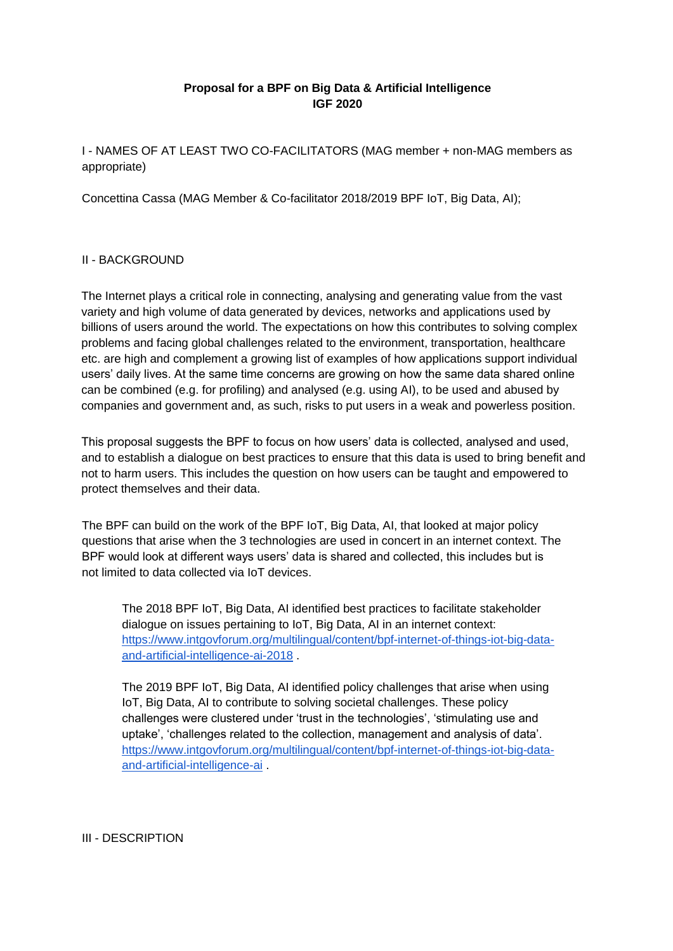## **Proposal for a BPF on Big Data & Artificial Intelligence IGF 2020**

I - NAMES OF AT LEAST TWO CO-FACILITATORS (MAG member + non-MAG members as appropriate)

Concettina Cassa (MAG Member & Co-facilitator 2018/2019 BPF IoT, Big Data, AI);

## II - BACKGROUND

The Internet plays a critical role in connecting, analysing and generating value from the vast variety and high volume of data generated by devices, networks and applications used by billions of users around the world. The expectations on how this contributes to solving complex problems and facing global challenges related to the environment, transportation, healthcare etc. are high and complement a growing list of examples of how applications support individual users' daily lives. At the same time concerns are growing on how the same data shared online can be combined (e.g. for profiling) and analysed (e.g. using AI), to be used and abused by companies and government and, as such, risks to put users in a weak and powerless position.

This proposal suggests the BPF to focus on how users' data is collected, analysed and used, and to establish a dialogue on best practices to ensure that this data is used to bring benefit and not to harm users. This includes the question on how users can be taught and empowered to protect themselves and their data.

The BPF can build on the work of the BPF IoT, Big Data, AI, that looked at major policy questions that arise when the 3 technologies are used in concert in an internet context. The BPF would look at different ways users' data is shared and collected, this includes but is not limited to data collected via IoT devices.

The 2018 BPF IoT, Big Data, AI identified best practices to facilitate stakeholder dialogue on issues pertaining to IoT, Big Data, AI in an internet context: [https://www.intgovforum.org/multilingual/content/bpf-internet-of-things-iot-big-data](https://www.intgovforum.org/multilingual/content/bpf-internet-of-things-iot-big-data-and-artificial-intelligence-ai-2018)[and-artificial-intelligence-ai-2018](https://www.intgovforum.org/multilingual/content/bpf-internet-of-things-iot-big-data-and-artificial-intelligence-ai-2018) .

The 2019 BPF IoT, Big Data, AI identified policy challenges that arise when using IoT, Big Data, AI to contribute to solving societal challenges. These policy challenges were clustered under 'trust in the technologies', 'stimulating use and uptake', 'challenges related to the collection, management and analysis of data'. [https://www.intgovforum.org/multilingual/content/bpf-internet-of-things-iot-big-data](https://www.intgovforum.org/multilingual/content/bpf-internet-of-things-iot-big-data-and-artificial-intelligence-ai)[and-artificial-intelligence-ai](https://www.intgovforum.org/multilingual/content/bpf-internet-of-things-iot-big-data-and-artificial-intelligence-ai) .

III - DESCRIPTION